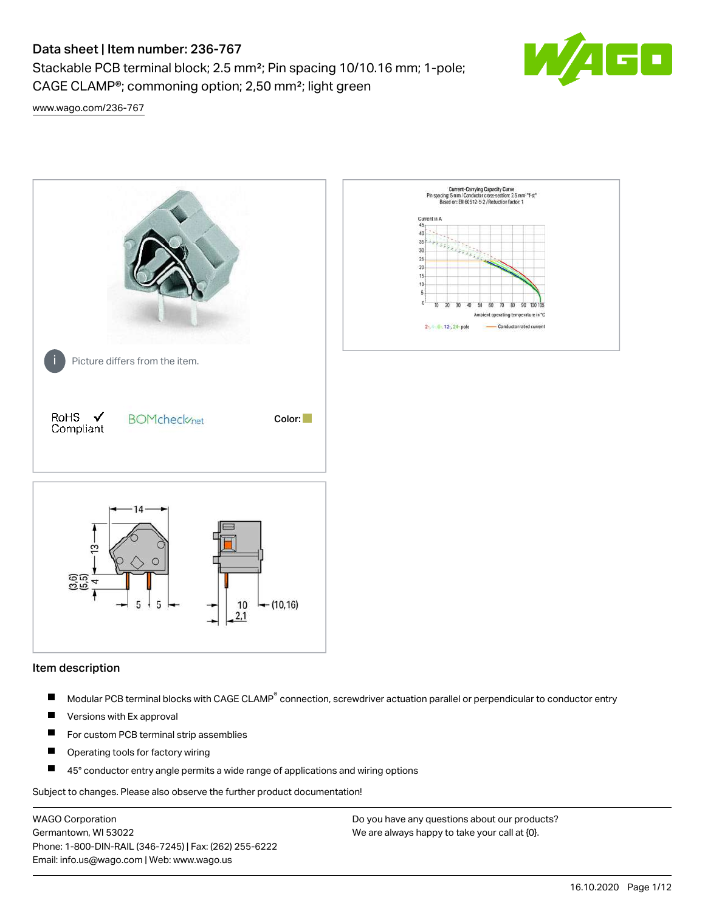# Data sheet | Item number: 236-767

Stackable PCB terminal block; 2.5 mm²; Pin spacing 10/10.16 mm; 1-pole; CAGE CLAMP®; commoning option; 2,50 mm²; light green



[www.wago.com/236-767](http://www.wago.com/236-767)



#### Item description

- Modular PCB terminal blocks with CAGE CLAMP<sup>®</sup> connection, screwdriver actuation parallel or perpendicular to conductor entry П
- $\blacksquare$ Versions with Ex approval
- П For custom PCB terminal strip assemblies
- $\blacksquare$ Operating tools for factory wiring
- $\blacksquare$ 45° conductor entry angle permits a wide range of applications and wiring options

Subject to changes. Please also observe the further product documentation!

WAGO Corporation Germantown, WI 53022 Phone: 1-800-DIN-RAIL (346-7245) | Fax: (262) 255-6222 Email: info.us@wago.com | Web: www.wago.us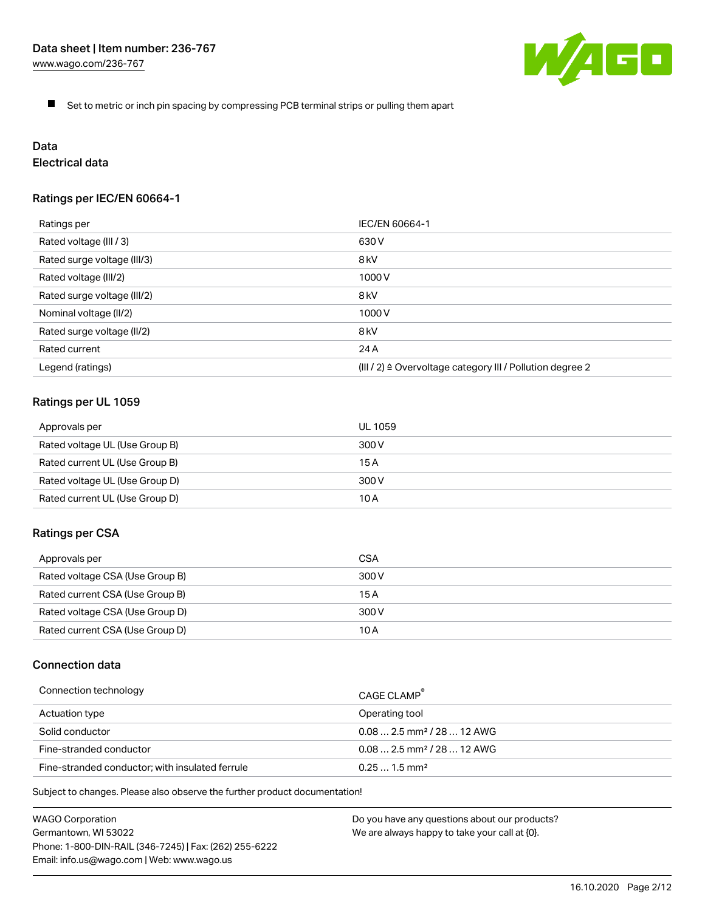

 $\blacksquare$ Set to metric or inch pin spacing by compressing PCB terminal strips or pulling them apart

# Data

# Electrical data

## Ratings per IEC/EN 60664-1

| Ratings per                 | IEC/EN 60664-1                                                        |
|-----------------------------|-----------------------------------------------------------------------|
| Rated voltage (III / 3)     | 630 V                                                                 |
| Rated surge voltage (III/3) | 8 <sub>kV</sub>                                                       |
| Rated voltage (III/2)       | 1000 V                                                                |
| Rated surge voltage (III/2) | 8 <sub>kV</sub>                                                       |
| Nominal voltage (II/2)      | 1000 V                                                                |
| Rated surge voltage (II/2)  | 8 <sub>kV</sub>                                                       |
| Rated current               | 24 A                                                                  |
| Legend (ratings)            | $(III / 2)$ $\triangle$ Overvoltage category III / Pollution degree 2 |

## Ratings per UL 1059

| Approvals per                  | UL 1059 |
|--------------------------------|---------|
| Rated voltage UL (Use Group B) | 300 V   |
| Rated current UL (Use Group B) | 15 A    |
| Rated voltage UL (Use Group D) | 300 V   |
| Rated current UL (Use Group D) | 10 A    |

#### Ratings per CSA

| Approvals per                   | CSA   |
|---------------------------------|-------|
| Rated voltage CSA (Use Group B) | 300 V |
| Rated current CSA (Use Group B) | 15 A  |
| Rated voltage CSA (Use Group D) | 300 V |
| Rated current CSA (Use Group D) | 10 A  |

## Connection data

| Connection technology                           | CAGE CLAMP                              |
|-------------------------------------------------|-----------------------------------------|
| Actuation type                                  | Operating tool                          |
| Solid conductor                                 | $0.08$ 2.5 mm <sup>2</sup> / 28  12 AWG |
| Fine-stranded conductor                         | $0.082.5$ mm <sup>2</sup> / 28  12 AWG  |
| Fine-stranded conductor; with insulated ferrule | $0.251.5$ mm <sup>2</sup>               |

Subject to changes. Please also observe the further product documentation!

WAGO Corporation Germantown, WI 53022 Phone: 1-800-DIN-RAIL (346-7245) | Fax: (262) 255-6222 Email: info.us@wago.com | Web: www.wago.us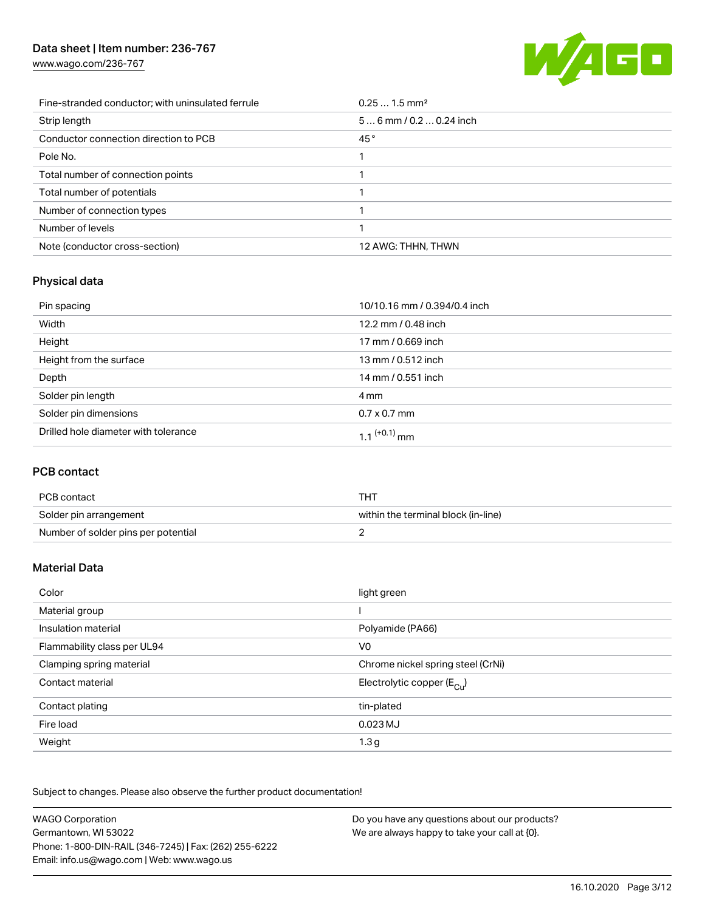# Data sheet | Item number: 236-767

[www.wago.com/236-767](http://www.wago.com/236-767)



| Fine-stranded conductor; with uninsulated ferrule | $0.251.5$ mm <sup>2</sup> |
|---------------------------------------------------|---------------------------|
| Strip length                                      | $56$ mm / 0.2  0.24 inch  |
| Conductor connection direction to PCB             | 45°                       |
| Pole No.                                          |                           |
| Total number of connection points                 |                           |
| Total number of potentials                        |                           |
| Number of connection types                        |                           |
| Number of levels                                  |                           |
| Note (conductor cross-section)                    | 12 AWG: THHN, THWN        |

# Physical data

| Pin spacing                          | 10/10.16 mm / 0.394/0.4 inch |
|--------------------------------------|------------------------------|
| Width                                | 12.2 mm / 0.48 inch          |
| Height                               | 17 mm / 0.669 inch           |
| Height from the surface              | 13 mm / 0.512 inch           |
| Depth                                | 14 mm / 0.551 inch           |
| Solder pin length                    | 4 mm                         |
| Solder pin dimensions                | $0.7 \times 0.7$ mm          |
| Drilled hole diameter with tolerance | 1.1 <sup>(+0.1)</sup> mm     |

## PCB contact

| PCB contact                         | тнт                                 |
|-------------------------------------|-------------------------------------|
| Solder pin arrangement              | within the terminal block (in-line) |
| Number of solder pins per potential |                                     |

# Material Data

| Color                       | light green                            |
|-----------------------------|----------------------------------------|
| Material group              |                                        |
| Insulation material         | Polyamide (PA66)                       |
| Flammability class per UL94 | V <sub>0</sub>                         |
| Clamping spring material    | Chrome nickel spring steel (CrNi)      |
| Contact material            | Electrolytic copper $(E_{\text{cut}})$ |
| Contact plating             | tin-plated                             |
| Fire load                   | 0.023 MJ                               |
| Weight                      | 1.3 <sub>g</sub>                       |

Subject to changes. Please also observe the further product documentation!

| <b>WAGO Corporation</b>                                | Do you have any questions about our products? |
|--------------------------------------------------------|-----------------------------------------------|
| Germantown, WI 53022                                   | We are always happy to take your call at {0}. |
| Phone: 1-800-DIN-RAIL (346-7245)   Fax: (262) 255-6222 |                                               |
| Email: info.us@wago.com   Web: www.wago.us             |                                               |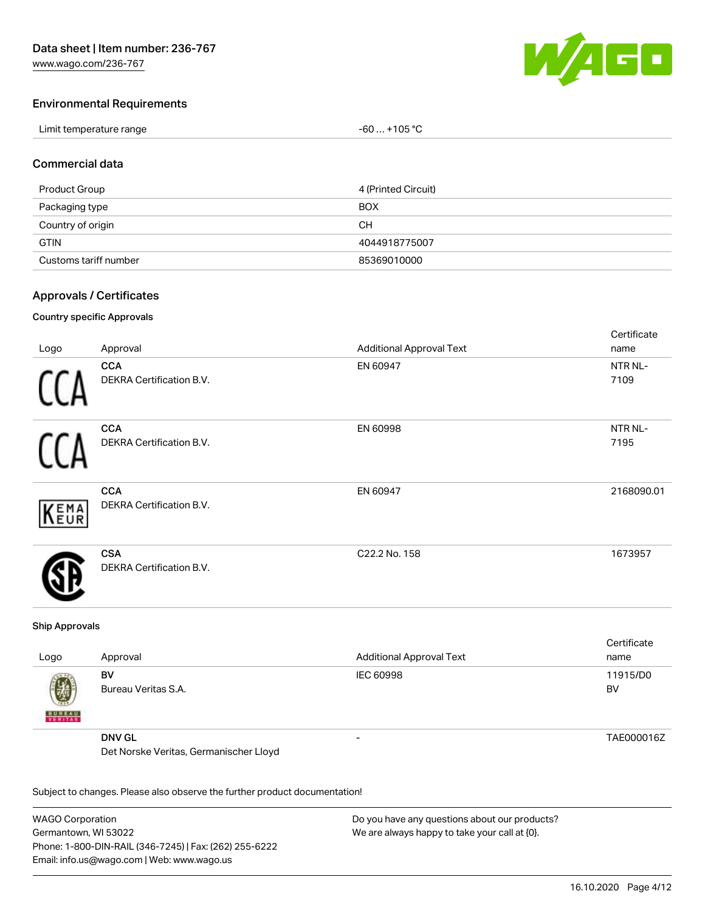

Cortificato

#### Environmental Requirements

| Limit temperature range | $-60+105 °C$ |
|-------------------------|--------------|
|-------------------------|--------------|

#### Commercial data

| Product Group         | 4 (Printed Circuit) |
|-----------------------|---------------------|
| Packaging type        | <b>BOX</b>          |
| Country of origin     | CН                  |
| <b>GTIN</b>           | 4044918775007       |
| Customs tariff number | 85369010000         |

#### Approvals / Certificates

#### Country specific Approvals

|      |                                               |                                 | <b>OCITINGLE</b> |
|------|-----------------------------------------------|---------------------------------|------------------|
| Logo | Approval                                      | <b>Additional Approval Text</b> | name             |
|      | <b>CCA</b><br>DEKRA Certification B.V.        | EN 60947                        | NTR NL-<br>7109  |
|      | <b>CCA</b><br>DEKRA Certification B.V.        | EN 60998                        | NTR NL-<br>7195  |
| KEMA | <b>CCA</b><br>DEKRA Certification B.V.        | EN 60947                        | 2168090.01       |
|      | <b>CSA</b><br><b>DEKRA Certification B.V.</b> | C22.2 No. 158                   | 1673957          |
|      |                                               |                                 |                  |

#### Ship Approvals

| Logo                                        | Approval                               | <b>Additional Approval Text</b> | Certificate<br>name |
|---------------------------------------------|----------------------------------------|---------------------------------|---------------------|
| $\left(\frac{1}{2}\right)$<br><b>BUREAU</b> | BV<br>Bureau Veritas S.A.              | IEC 60998                       | 11915/D0<br>BV      |
|                                             | <b>DNV GL</b>                          | -                               | TAE000016Z          |
|                                             | Det Norske Veritas, Germanischer Lloyd |                                 |                     |

Subject to changes. Please also observe the further product documentation!

WAGO Corporation Germantown, WI 53022 Phone: 1-800-DIN-RAIL (346-7245) | Fax: (262) 255-6222 Email: info.us@wago.com | Web: www.wago.us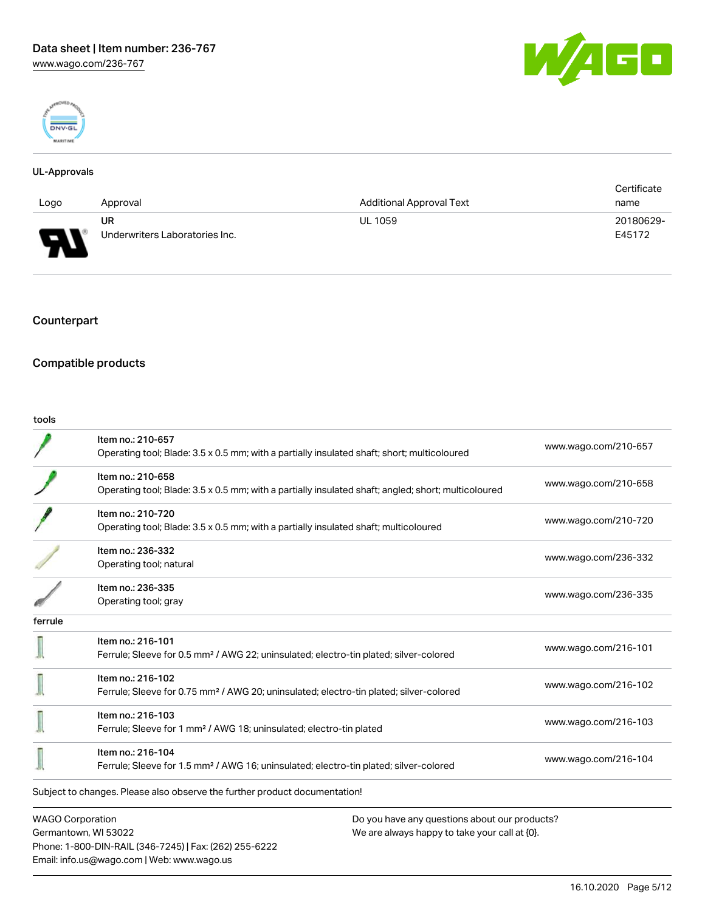



#### UL-Approvals

|                               |                                |                          | Certificate |
|-------------------------------|--------------------------------|--------------------------|-------------|
| Logo                          | Approval                       | Additional Approval Text | name        |
|                               | UR                             | <b>UL 1059</b>           | 20180629-   |
| ſ<br>$\overline{\phantom{a}}$ | Underwriters Laboratories Inc. |                          | E45172      |

## Counterpart

# Compatible products

Phone: 1-800-DIN-RAIL (346-7245) | Fax: (262) 255-6222

Email: info.us@wago.com | Web: www.wago.us

| tools                   |                                                                                                                          |                                                                                                |
|-------------------------|--------------------------------------------------------------------------------------------------------------------------|------------------------------------------------------------------------------------------------|
|                         | Item no.: 210-657<br>Operating tool; Blade: 3.5 x 0.5 mm; with a partially insulated shaft; short; multicoloured         | www.wago.com/210-657                                                                           |
|                         | Item no.: 210-658<br>Operating tool; Blade: 3.5 x 0.5 mm; with a partially insulated shaft; angled; short; multicoloured | www.wago.com/210-658                                                                           |
|                         | Item no.: 210-720<br>Operating tool; Blade: 3.5 x 0.5 mm; with a partially insulated shaft; multicoloured                | www.wago.com/210-720                                                                           |
|                         | Item no.: 236-332<br>Operating tool; natural                                                                             | www.wago.com/236-332                                                                           |
|                         | Item no.: 236-335<br>Operating tool; gray                                                                                | www.wago.com/236-335                                                                           |
| ferrule                 |                                                                                                                          |                                                                                                |
|                         | Item no.: 216-101<br>Ferrule; Sleeve for 0.5 mm <sup>2</sup> / AWG 22; uninsulated; electro-tin plated; silver-colored   | www.wago.com/216-101                                                                           |
|                         | Item no.: 216-102<br>Ferrule; Sleeve for 0.75 mm <sup>2</sup> / AWG 20; uninsulated; electro-tin plated; silver-colored  | www.wago.com/216-102                                                                           |
|                         | Item no.: 216-103<br>Ferrule; Sleeve for 1 mm <sup>2</sup> / AWG 18; uninsulated; electro-tin plated                     | www.wago.com/216-103                                                                           |
|                         | Item no.: 216-104<br>Ferrule; Sleeve for 1.5 mm <sup>2</sup> / AWG 16; uninsulated; electro-tin plated; silver-colored   | www.wago.com/216-104                                                                           |
|                         | Subject to changes. Please also observe the further product documentation!                                               |                                                                                                |
| <b>WAGO Corporation</b> | Germantown, WI 53022                                                                                                     | Do you have any questions about our products?<br>We are always happy to take your call at {0}. |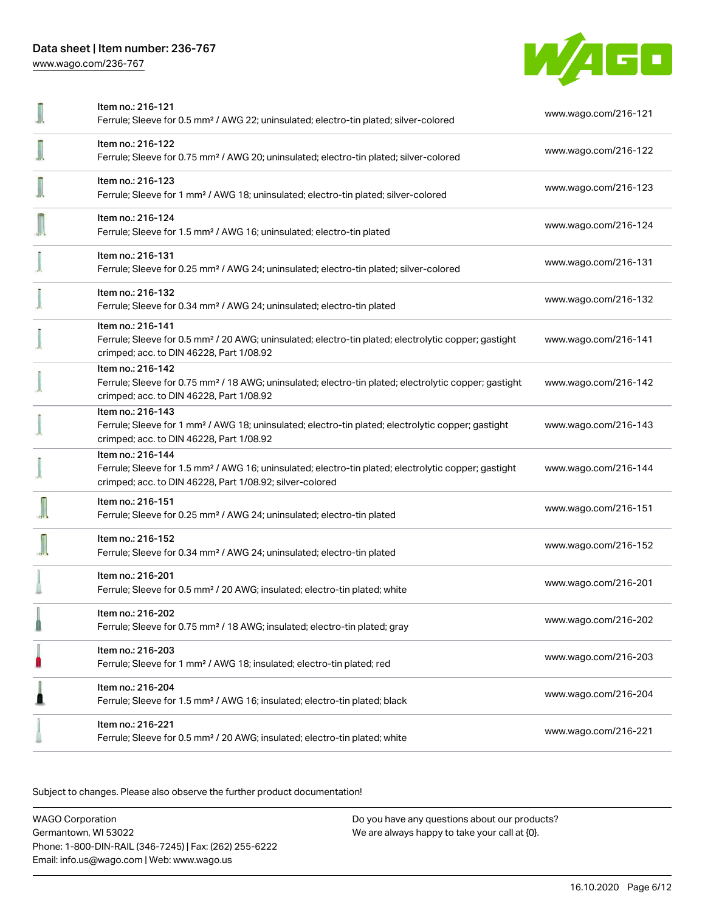

|                          | Item no.: 216-121<br>Ferrule; Sleeve for 0.5 mm <sup>2</sup> / AWG 22; uninsulated; electro-tin plated; silver-colored                                                                            | www.wago.com/216-121 |
|--------------------------|---------------------------------------------------------------------------------------------------------------------------------------------------------------------------------------------------|----------------------|
| $\overline{\phantom{a}}$ | Item no.: 216-122<br>Ferrule; Sleeve for 0.75 mm <sup>2</sup> / AWG 20; uninsulated; electro-tin plated; silver-colored                                                                           | www.wago.com/216-122 |
|                          | Item no.: 216-123<br>Ferrule; Sleeve for 1 mm <sup>2</sup> / AWG 18; uninsulated; electro-tin plated; silver-colored                                                                              | www.wago.com/216-123 |
|                          | Item no.: 216-124<br>Ferrule; Sleeve for 1.5 mm <sup>2</sup> / AWG 16; uninsulated; electro-tin plated                                                                                            | www.wago.com/216-124 |
|                          | Item no.: 216-131<br>Ferrule; Sleeve for 0.25 mm <sup>2</sup> / AWG 24; uninsulated; electro-tin plated; silver-colored                                                                           | www.wago.com/216-131 |
|                          | Item no.: 216-132<br>Ferrule; Sleeve for 0.34 mm <sup>2</sup> / AWG 24; uninsulated; electro-tin plated                                                                                           | www.wago.com/216-132 |
|                          | Item no.: 216-141<br>Ferrule; Sleeve for 0.5 mm <sup>2</sup> / 20 AWG; uninsulated; electro-tin plated; electrolytic copper; gastight<br>crimped; acc. to DIN 46228, Part 1/08.92                 | www.wago.com/216-141 |
|                          | Item no.: 216-142<br>Ferrule; Sleeve for 0.75 mm <sup>2</sup> / 18 AWG; uninsulated; electro-tin plated; electrolytic copper; gastight<br>crimped; acc. to DIN 46228, Part 1/08.92                | www.wago.com/216-142 |
|                          | Item no.: 216-143<br>Ferrule; Sleeve for 1 mm <sup>2</sup> / AWG 18; uninsulated; electro-tin plated; electrolytic copper; gastight<br>crimped; acc. to DIN 46228, Part 1/08.92                   | www.wago.com/216-143 |
|                          | Item no.: 216-144<br>Ferrule; Sleeve for 1.5 mm <sup>2</sup> / AWG 16; uninsulated; electro-tin plated; electrolytic copper; gastight<br>crimped; acc. to DIN 46228, Part 1/08.92; silver-colored | www.wago.com/216-144 |
|                          | Item no.: 216-151<br>Ferrule; Sleeve for 0.25 mm <sup>2</sup> / AWG 24; uninsulated; electro-tin plated                                                                                           | www.wago.com/216-151 |
|                          | Item no.: 216-152<br>Ferrule; Sleeve for 0.34 mm <sup>2</sup> / AWG 24; uninsulated; electro-tin plated                                                                                           | www.wago.com/216-152 |
|                          | Item no.: 216-201<br>Ferrule; Sleeve for 0.5 mm <sup>2</sup> / 20 AWG; insulated; electro-tin plated; white                                                                                       | www.wago.com/216-201 |
|                          | Item no.: 216-202<br>Ferrule; Sleeve for 0.75 mm <sup>2</sup> / 18 AWG; insulated; electro-tin plated; gray                                                                                       | www.wago.com/216-202 |
|                          | Item no.: 216-203<br>Ferrule; Sleeve for 1 mm <sup>2</sup> / AWG 18; insulated; electro-tin plated; red                                                                                           | www.wago.com/216-203 |
|                          | Item no.: 216-204<br>Ferrule; Sleeve for 1.5 mm <sup>2</sup> / AWG 16; insulated; electro-tin plated; black                                                                                       | www.wago.com/216-204 |
|                          | Item no.: 216-221<br>Ferrule; Sleeve for 0.5 mm <sup>2</sup> / 20 AWG; insulated; electro-tin plated; white                                                                                       | www.wago.com/216-221 |

Subject to changes. Please also observe the further product documentation!

WAGO Corporation Germantown, WI 53022 Phone: 1-800-DIN-RAIL (346-7245) | Fax: (262) 255-6222 Email: info.us@wago.com | Web: www.wago.us Do you have any questions about our products? We are always happy to take your call at {0}.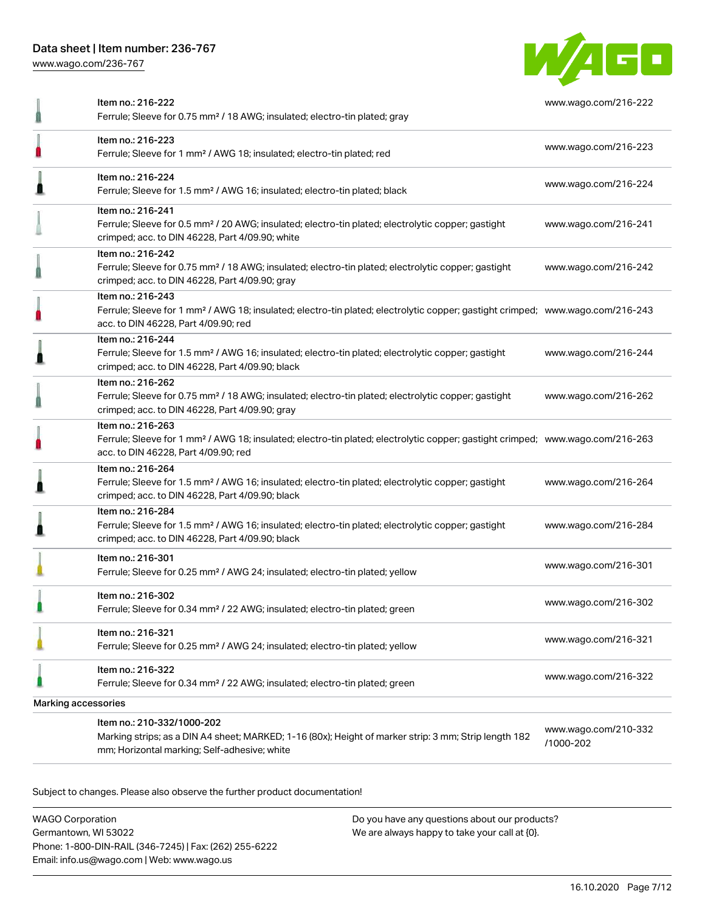[www.wago.com/236-767](http://www.wago.com/236-767)



|                     | Item no.: 216-222<br>Ferrule; Sleeve for 0.75 mm <sup>2</sup> / 18 AWG; insulated; electro-tin plated; gray                                                                                             | www.wago.com/216-222              |  |
|---------------------|---------------------------------------------------------------------------------------------------------------------------------------------------------------------------------------------------------|-----------------------------------|--|
|                     | Item no.: 216-223<br>Ferrule; Sleeve for 1 mm <sup>2</sup> / AWG 18; insulated; electro-tin plated; red                                                                                                 | www.wago.com/216-223              |  |
|                     | Item no.: 216-224<br>Ferrule; Sleeve for 1.5 mm <sup>2</sup> / AWG 16; insulated; electro-tin plated; black                                                                                             | www.wago.com/216-224              |  |
|                     | Item no.: 216-241<br>Ferrule; Sleeve for 0.5 mm <sup>2</sup> / 20 AWG; insulated; electro-tin plated; electrolytic copper; gastight<br>crimped; acc. to DIN 46228, Part 4/09.90; white                  | www.wago.com/216-241              |  |
|                     | Item no.: 216-242<br>Ferrule; Sleeve for 0.75 mm <sup>2</sup> / 18 AWG; insulated; electro-tin plated; electrolytic copper; gastight<br>crimped; acc. to DIN 46228, Part 4/09.90; gray                  | www.wago.com/216-242              |  |
|                     | Item no.: 216-243<br>Ferrule; Sleeve for 1 mm <sup>2</sup> / AWG 18; insulated; electro-tin plated; electrolytic copper; gastight crimped; www.wago.com/216-243<br>acc. to DIN 46228, Part 4/09.90; red |                                   |  |
|                     | Item no.: 216-244<br>Ferrule; Sleeve for 1.5 mm <sup>2</sup> / AWG 16; insulated; electro-tin plated; electrolytic copper; gastight<br>crimped; acc. to DIN 46228, Part 4/09.90; black                  | www.wago.com/216-244              |  |
|                     | Item no.: 216-262<br>Ferrule; Sleeve for 0.75 mm <sup>2</sup> / 18 AWG; insulated; electro-tin plated; electrolytic copper; gastight<br>crimped; acc. to DIN 46228, Part 4/09.90; gray                  | www.wago.com/216-262              |  |
|                     | Item no.: 216-263<br>Ferrule; Sleeve for 1 mm <sup>2</sup> / AWG 18; insulated; electro-tin plated; electrolytic copper; gastight crimped; www.wago.com/216-263<br>acc. to DIN 46228, Part 4/09.90; red |                                   |  |
|                     | Item no.: 216-264<br>Ferrule; Sleeve for 1.5 mm <sup>2</sup> / AWG 16; insulated; electro-tin plated; electrolytic copper; gastight<br>crimped; acc. to DIN 46228, Part 4/09.90; black                  | www.wago.com/216-264              |  |
|                     | Item no.: 216-284<br>Ferrule; Sleeve for 1.5 mm <sup>2</sup> / AWG 16; insulated; electro-tin plated; electrolytic copper; gastight<br>crimped; acc. to DIN 46228, Part 4/09.90; black                  | www.wago.com/216-284              |  |
|                     | Item no.: 216-301<br>Ferrule; Sleeve for 0.25 mm <sup>2</sup> / AWG 24; insulated; electro-tin plated; yellow                                                                                           | www.wago.com/216-301              |  |
|                     | Item no.: 216-302<br>Ferrule; Sleeve for 0.34 mm <sup>2</sup> / 22 AWG; insulated; electro-tin plated; green                                                                                            | www.wago.com/216-302              |  |
|                     | Item no.: 216-321<br>Ferrule; Sleeve for 0.25 mm <sup>2</sup> / AWG 24; insulated; electro-tin plated; yellow                                                                                           | www.wago.com/216-321              |  |
|                     | Item no.: 216-322<br>Ferrule; Sleeve for 0.34 mm <sup>2</sup> / 22 AWG; insulated; electro-tin plated; green                                                                                            | www.wago.com/216-322              |  |
| Marking accessories |                                                                                                                                                                                                         |                                   |  |
|                     | Item no.: 210-332/1000-202<br>Marking strips; as a DIN A4 sheet; MARKED; 1-16 (80x); Height of marker strip: 3 mm; Strip length 182<br>mm; Horizontal marking; Self-adhesive; white                     | www.wago.com/210-332<br>/1000-202 |  |

Subject to changes. Please also observe the further product documentation!

WAGO Corporation Germantown, WI 53022 Phone: 1-800-DIN-RAIL (346-7245) | Fax: (262) 255-6222 Email: info.us@wago.com | Web: www.wago.us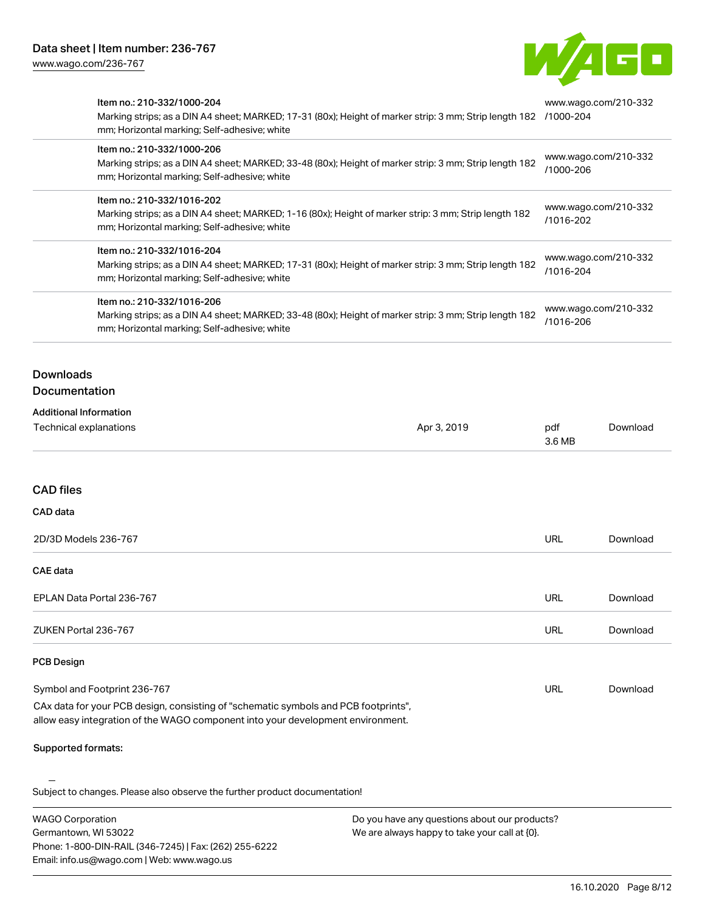Email: info.us@wago.com | Web: www.wago.us



| Item no.: 210-332/1000-204<br>mm; Horizontal marking; Self-adhesive; white                                                                                                           | Marking strips; as a DIN A4 sheet; MARKED; 17-31 (80x); Height of marker strip: 3 mm; Strip length 182 /1000-204                                                                                                                                                                                                                                                                                                                                                                      |                                   | www.wago.com/210-332                                                                                        |  |
|--------------------------------------------------------------------------------------------------------------------------------------------------------------------------------------|---------------------------------------------------------------------------------------------------------------------------------------------------------------------------------------------------------------------------------------------------------------------------------------------------------------------------------------------------------------------------------------------------------------------------------------------------------------------------------------|-----------------------------------|-------------------------------------------------------------------------------------------------------------|--|
| Item no.: 210-332/1000-206<br>Marking strips; as a DIN A4 sheet; MARKED; 33-48 (80x); Height of marker strip: 3 mm; Strip length 182<br>mm; Horizontal marking; Self-adhesive; white |                                                                                                                                                                                                                                                                                                                                                                                                                                                                                       | www.wago.com/210-332<br>/1000-206 |                                                                                                             |  |
| Item no.: 210-332/1016-202<br>mm; Horizontal marking; Self-adhesive; white                                                                                                           | Marking strips; as a DIN A4 sheet; MARKED; 1-16 (80x); Height of marker strip: 3 mm; Strip length 182<br>Item no.: 210-332/1016-204<br>Marking strips; as a DIN A4 sheet; MARKED; 17-31 (80x); Height of marker strip: 3 mm; Strip length 182<br>mm; Horizontal marking; Self-adhesive; white<br>Item no.: 210-332/1016-206<br>Marking strips; as a DIN A4 sheet; MARKED; 33-48 (80x); Height of marker strip: 3 mm; Strip length 182<br>mm; Horizontal marking; Self-adhesive; white |                                   | www.wago.com/210-332<br>/1016-202<br>www.wago.com/210-332<br>/1016-204<br>www.wago.com/210-332<br>/1016-206 |  |
|                                                                                                                                                                                      |                                                                                                                                                                                                                                                                                                                                                                                                                                                                                       |                                   |                                                                                                             |  |
|                                                                                                                                                                                      |                                                                                                                                                                                                                                                                                                                                                                                                                                                                                       |                                   |                                                                                                             |  |
| <b>Downloads</b><br>Documentation                                                                                                                                                    |                                                                                                                                                                                                                                                                                                                                                                                                                                                                                       |                                   |                                                                                                             |  |
| <b>Additional Information</b><br>Technical explanations                                                                                                                              | Apr 3, 2019                                                                                                                                                                                                                                                                                                                                                                                                                                                                           | pdf<br>3.6 MB                     | Download                                                                                                    |  |
| <b>CAD files</b>                                                                                                                                                                     |                                                                                                                                                                                                                                                                                                                                                                                                                                                                                       |                                   |                                                                                                             |  |
| CAD data                                                                                                                                                                             |                                                                                                                                                                                                                                                                                                                                                                                                                                                                                       |                                   |                                                                                                             |  |
| 2D/3D Models 236-767                                                                                                                                                                 |                                                                                                                                                                                                                                                                                                                                                                                                                                                                                       | <b>URL</b>                        | Download                                                                                                    |  |
| <b>CAE</b> data                                                                                                                                                                      |                                                                                                                                                                                                                                                                                                                                                                                                                                                                                       |                                   |                                                                                                             |  |
| EPLAN Data Portal 236-767                                                                                                                                                            |                                                                                                                                                                                                                                                                                                                                                                                                                                                                                       | <b>URL</b>                        | Download                                                                                                    |  |
| ZUKEN Portal 236-767                                                                                                                                                                 |                                                                                                                                                                                                                                                                                                                                                                                                                                                                                       | <b>URL</b>                        | Download                                                                                                    |  |
| <b>PCB Design</b>                                                                                                                                                                    |                                                                                                                                                                                                                                                                                                                                                                                                                                                                                       |                                   |                                                                                                             |  |
| Symbol and Footprint 236-767                                                                                                                                                         |                                                                                                                                                                                                                                                                                                                                                                                                                                                                                       | <b>URL</b>                        | Download                                                                                                    |  |
| CAx data for your PCB design, consisting of "schematic symbols and PCB footprints",<br>allow easy integration of the WAGO component into your development environment.               |                                                                                                                                                                                                                                                                                                                                                                                                                                                                                       |                                   |                                                                                                             |  |
| Supported formats:                                                                                                                                                                   |                                                                                                                                                                                                                                                                                                                                                                                                                                                                                       |                                   |                                                                                                             |  |
| Subject to changes. Please also observe the further product documentation!                                                                                                           |                                                                                                                                                                                                                                                                                                                                                                                                                                                                                       |                                   |                                                                                                             |  |
| <b>WAGO Corporation</b><br>Germantown, WI 53022<br>Phone: 1-800-DIN-RAIL (346-7245)   Fax: (262) 255-6222                                                                            | Do you have any questions about our products?<br>We are always happy to take your call at {0}.                                                                                                                                                                                                                                                                                                                                                                                        |                                   |                                                                                                             |  |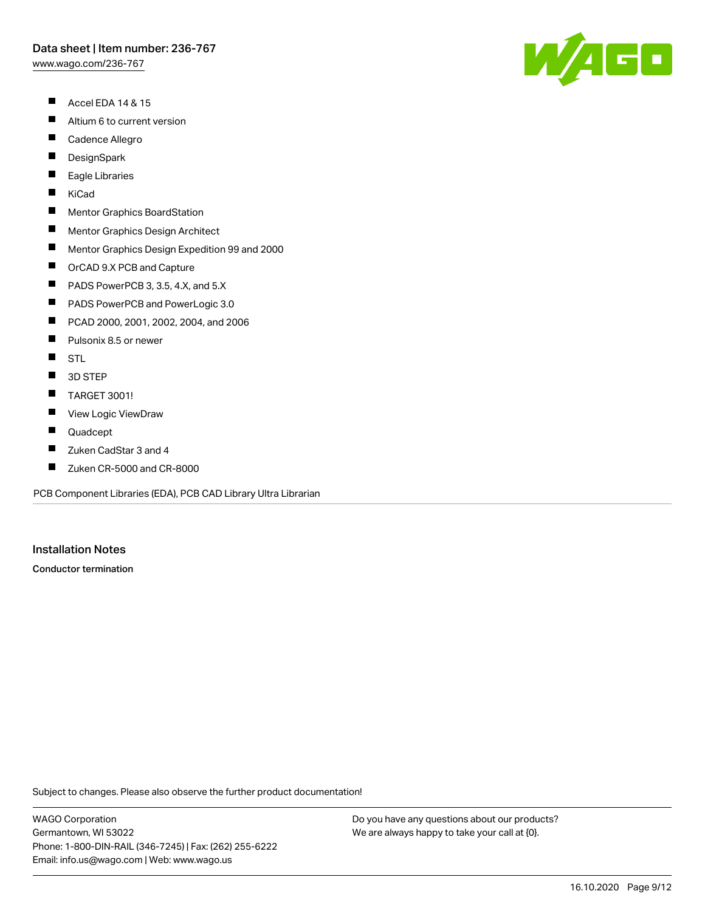[www.wago.com/236-767](http://www.wago.com/236-767)

- $\blacksquare$ Accel EDA 14 & 15
- $\blacksquare$ Altium 6 to current version
- $\blacksquare$ Cadence Allegro
- $\blacksquare$ **DesignSpark**
- П Eagle Libraries
- $\blacksquare$ KiCad
- $\blacksquare$ Mentor Graphics BoardStation
- $\blacksquare$ Mentor Graphics Design Architect
- $\blacksquare$ Mentor Graphics Design Expedition 99 and 2000
- $\blacksquare$ OrCAD 9.X PCB and Capture
- $\blacksquare$ PADS PowerPCB 3, 3.5, 4.X, and 5.X
- $\blacksquare$ PADS PowerPCB and PowerLogic 3.0
- $\blacksquare$ PCAD 2000, 2001, 2002, 2004, and 2006
- $\blacksquare$ Pulsonix 8.5 or newer
- $\blacksquare$ **STL**
- $\blacksquare$ 3D STEP
- $\blacksquare$ TARGET 3001!
- $\blacksquare$ View Logic ViewDraw
- $\blacksquare$ Quadcept
- П Zuken CadStar 3 and 4
- $\blacksquare$ Zuken CR-5000 and CR-8000

PCB Component Libraries (EDA), PCB CAD Library Ultra Librarian

# Installation Notes

Conductor termination

Subject to changes. Please also observe the further product documentation!

WAGO Corporation Germantown, WI 53022 Phone: 1-800-DIN-RAIL (346-7245) | Fax: (262) 255-6222 Email: info.us@wago.com | Web: www.wago.us

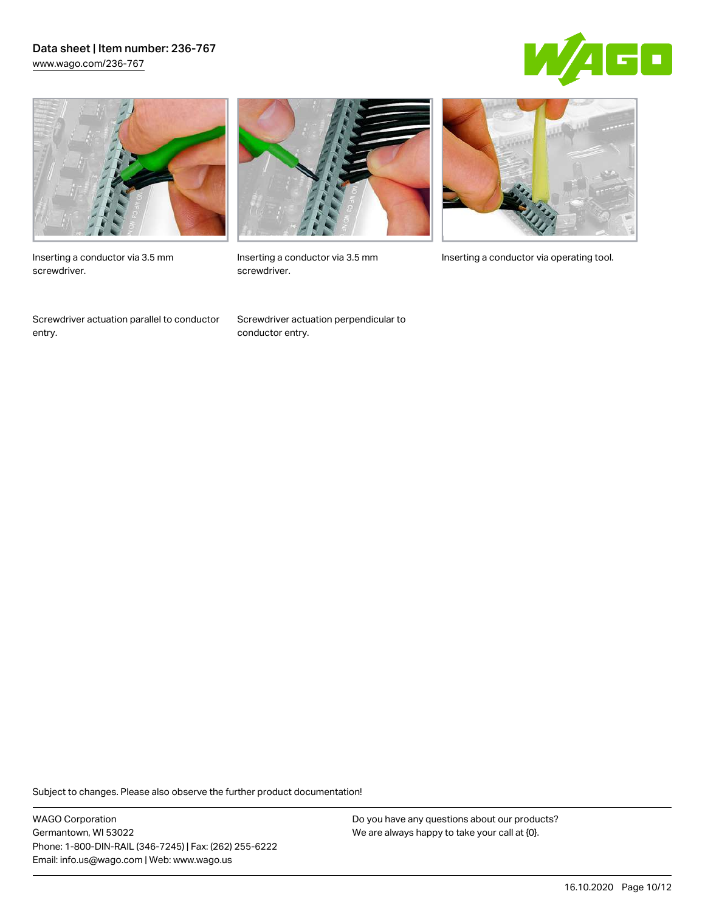## Data sheet | Item number: 236-767 [www.wago.com/236-767](http://www.wago.com/236-767)





Inserting a conductor via 3.5 mm screwdriver.

Screwdriver actuation parallel to conductor entry.



screwdriver.

Screwdriver actuation perpendicular to conductor entry.



Inserting a conductor via 3.5 mm Inserting a conductor via operating tool.

Subject to changes. Please also observe the further product documentation!

WAGO Corporation Germantown, WI 53022 Phone: 1-800-DIN-RAIL (346-7245) | Fax: (262) 255-6222 Email: info.us@wago.com | Web: www.wago.us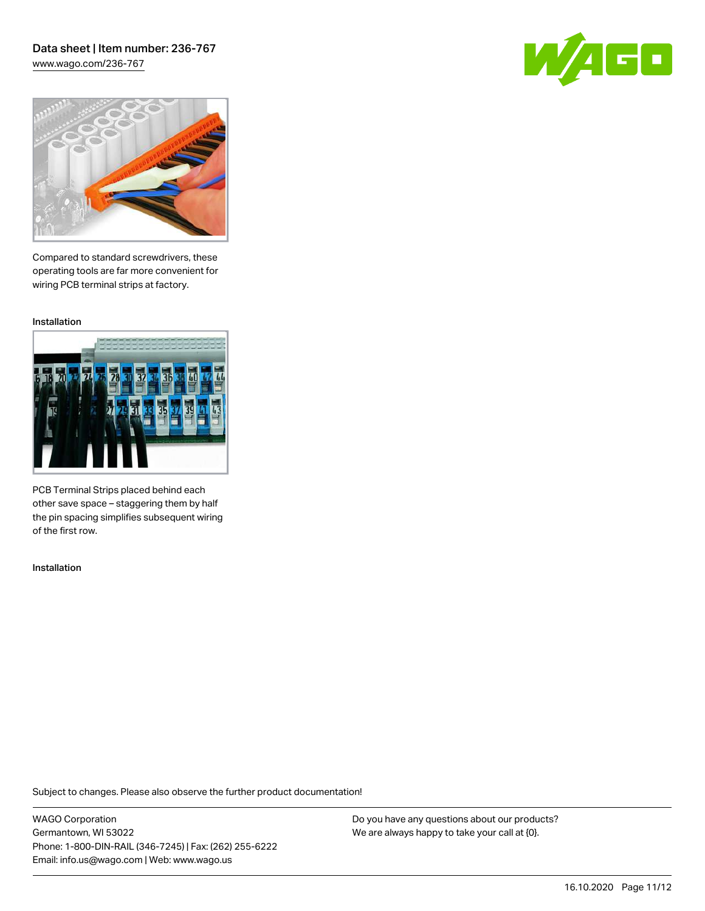## Data sheet | Item number: 236-767 [www.wago.com/236-767](http://www.wago.com/236-767)





Compared to standard screwdrivers, these operating tools are far more convenient for wiring PCB terminal strips at factory.

Installation



PCB Terminal Strips placed behind each other save space – staggering them by half the pin spacing simplifies subsequent wiring of the first row.

Installation

Subject to changes. Please also observe the further product documentation!

WAGO Corporation Germantown, WI 53022 Phone: 1-800-DIN-RAIL (346-7245) | Fax: (262) 255-6222 Email: info.us@wago.com | Web: www.wago.us